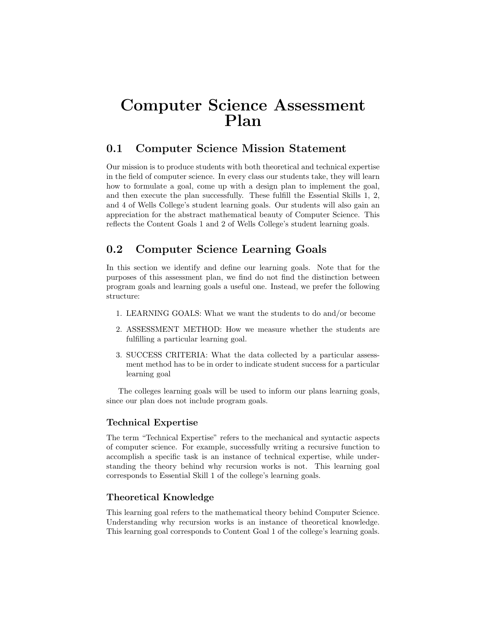# Computer Science Assessment Plan

# 0.1 Computer Science Mission Statement

Our mission is to produce students with both theoretical and technical expertise in the field of computer science. In every class our students take, they will learn how to formulate a goal, come up with a design plan to implement the goal, and then execute the plan successfully. These fulfill the Essential Skills 1, 2, and 4 of Wells College's student learning goals. Our students will also gain an appreciation for the abstract mathematical beauty of Computer Science. This reflects the Content Goals 1 and 2 of Wells College's student learning goals.

# 0.2 Computer Science Learning Goals

In this section we identify and define our learning goals. Note that for the purposes of this assessment plan, we find do not find the distinction between program goals and learning goals a useful one. Instead, we prefer the following structure:

- 1. LEARNING GOALS: What we want the students to do and/or become
- 2. ASSESSMENT METHOD: How we measure whether the students are fulfilling a particular learning goal.
- 3. SUCCESS CRITERIA: What the data collected by a particular assessment method has to be in order to indicate student success for a particular learning goal

The colleges learning goals will be used to inform our plans learning goals, since our plan does not include program goals.

### Technical Expertise

The term "Technical Expertise" refers to the mechanical and syntactic aspects of computer science. For example, successfully writing a recursive function to accomplish a specific task is an instance of technical expertise, while understanding the theory behind why recursion works is not. This learning goal corresponds to Essential Skill 1 of the college's learning goals.

### Theoretical Knowledge

This learning goal refers to the mathematical theory behind Computer Science. Understanding why recursion works is an instance of theoretical knowledge. This learning goal corresponds to Content Goal 1 of the college's learning goals.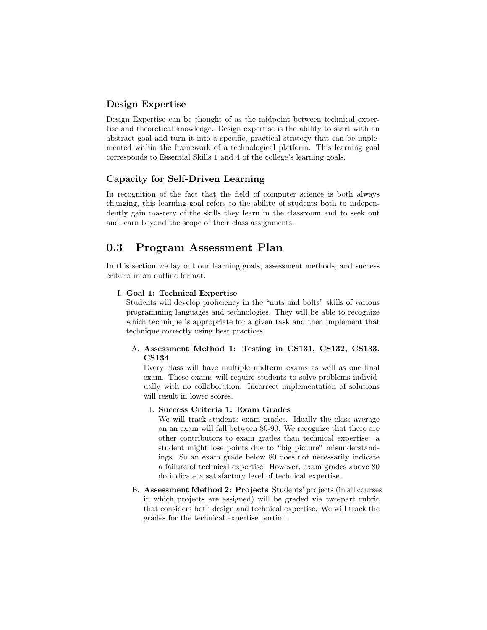#### Design Expertise

Design Expertise can be thought of as the midpoint between technical expertise and theoretical knowledge. Design expertise is the ability to start with an abstract goal and turn it into a specific, practical strategy that can be implemented within the framework of a technological platform. This learning goal corresponds to Essential Skills 1 and 4 of the college's learning goals.

#### Capacity for Self-Driven Learning

In recognition of the fact that the field of computer science is both always changing, this learning goal refers to the ability of students both to independently gain mastery of the skills they learn in the classroom and to seek out and learn beyond the scope of their class assignments.

# 0.3 Program Assessment Plan

In this section we lay out our learning goals, assessment methods, and success criteria in an outline format.

#### I. Goal 1: Technical Expertise

Students will develop proficiency in the "nuts and bolts" skills of various programming languages and technologies. They will be able to recognize which technique is appropriate for a given task and then implement that technique correctly using best practices.

#### A. Assessment Method 1: Testing in CS131, CS132, CS133, CS134

Every class will have multiple midterm exams as well as one final exam. These exams will require students to solve problems individually with no collaboration. Incorrect implementation of solutions will result in lower scores.

#### 1. Success Criteria 1: Exam Grades

We will track students exam grades. Ideally the class average on an exam will fall between 80-90. We recognize that there are other contributors to exam grades than technical expertise: a student might lose points due to "big picture" misunderstandings. So an exam grade below 80 does not necessarily indicate a failure of technical expertise. However, exam grades above 80 do indicate a satisfactory level of technical expertise.

B. Assessment Method 2: Projects Students' projects (in all courses in which projects are assigned) will be graded via two-part rubric that considers both design and technical expertise. We will track the grades for the technical expertise portion.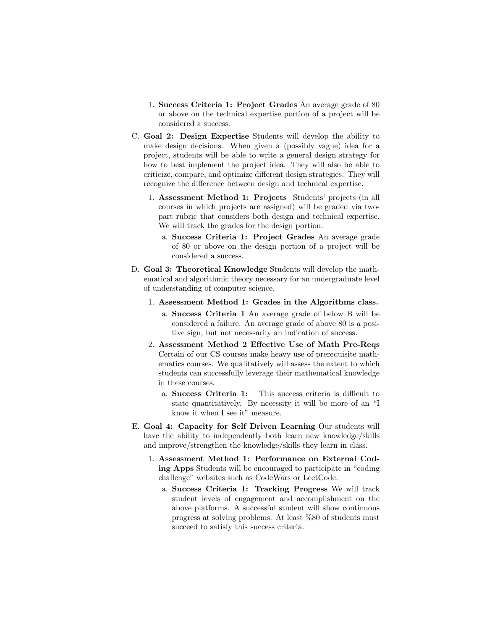- 1. Success Criteria 1: Project Grades An average grade of 80 or above on the technical expertise portion of a project will be considered a success.
- C. Goal 2: Design Expertise Students will develop the ability to make design decisions. When given a (possibly vague) idea for a project, students will be able to write a general design strategy for how to best implement the project idea. They will also be able to criticize, compare, and optimize different design strategies. They will recognize the difference between design and technical expertise.
	- 1. Assessment Method 1: Projects Students' projects (in all courses in which projects are assigned) will be graded via twopart rubric that considers both design and technical expertise. We will track the grades for the design portion.
		- a. Success Criteria 1: Project Grades An average grade of 80 or above on the design portion of a project will be considered a success.
- D. Goal 3: Theoretical Knowledge Students will develop the mathematical and algorithmic theory necessary for an undergraduate level of understanding of computer science.
	- 1. Assessment Method 1: Grades in the Algorithms class.
		- a. Success Criteria 1 An average grade of below B will be considered a failure. An average grade of above 80 is a positive sign, but not necessarily an indication of success.
	- 2. Assessment Method 2 Effective Use of Math Pre-Reqs Certain of our CS courses make heavy use of prerequisite mathematics courses. We qualitatively will assess the extent to which students can successfully leverage their mathematical knowledge in these courses.
		- a. Success Criteria 1: This success criteria is difficult to state quantitatively. By necessity it will be more of an "I know it when I see it" measure.
- E. Goal 4: Capacity for Self Driven Learning Our students will have the ability to independently both learn new knowledge/skills and improve/strengthen the knowledge/skills they learn in class.
	- 1. Assessment Method 1: Performance on External Coding Apps Students will be encouraged to participate in "coding challenge" websites such as CodeWars or LeetCode.
		- a. Success Criteria 1: Tracking Progress We will track student levels of engagement and accomplishment on the above platforms. A successful student will show continuous progress at solving problems. At least %80 of students must succeed to satisfy this success criteria.